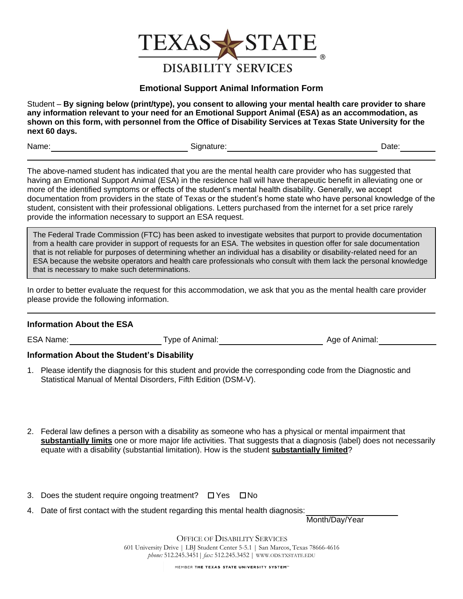

## **Emotional Support Animal Information Form**

Student – **By signing below (print/type), you consent to allowing your mental health care provider to share any information relevant to your need for an Emotional Support Animal (ESA) as an accommodation, as shown on this form, with personnel from the Office of Disability Services at Texas State University for the next 60 days.** 

Name: Contract Contract Contract Contract Contract Contract Contract Contract Contract Contract Contract Contract Contract Contract Contract Contract Contract Contract Contract Contract Contract Contract Contract Contract

The above-named student has indicated that you are the mental health care provider who has suggested that having an Emotional Support Animal (ESA) in the residence hall will have therapeutic benefit in alleviating one or more of the identified symptoms or effects of the student's mental health disability. Generally, we accept documentation from providers in the state of Texas or the student's home state who have personal knowledge of the student, consistent with their professional obligations. Letters purchased from the internet for a set price rarely provide the information necessary to support an ESA request.

The Federal Trade Commission (FTC) has been asked to investigate websites that purport to provide documentation from a health care provider in support of requests for an ESA. The websites in question offer for sale documentation that is not reliable for purposes of determining whether an individual has a disability or disability-related need for an ESA because the website operators and health care professionals who consult with them lack the personal knowledge that is necessary to make such determinations.

In order to better evaluate the request for this accommodation, we ask that you as the mental health care provider please provide the following information.

## **Information About the ESA**

ESA Name: Type of Animal: Type of Animal: Age of Animal:

## **Information About the Student's Disability**

- 1. Please identify the diagnosis for this student and provide the corresponding code from the Diagnostic and Statistical Manual of Mental Disorders, Fifth Edition (DSM-V).
- 2. Federal law defines a person with a disability as someone who has a physical or mental impairment that **substantially limits** one or more major life activities. That suggests that a diagnosis (label) does not necessarily equate with a disability (substantial limitation). How is the student **substantially limited**?
- 3. Does the student require ongoing treatment?  $\Box$  Yes  $\Box$  No
- 4. Date of first contact with the student regarding this mental health diagnosis:

Month/Day/Year

OFFICE OF DISABILITY SERVICES 601 University Drive | LBJ Student Center 5-5.1 | San Marcos, Texas 78666-4616 *phone:* 512.245.3451| *fax:* 512.245.3452 | WWW.ODS.TXSTATE.EDU